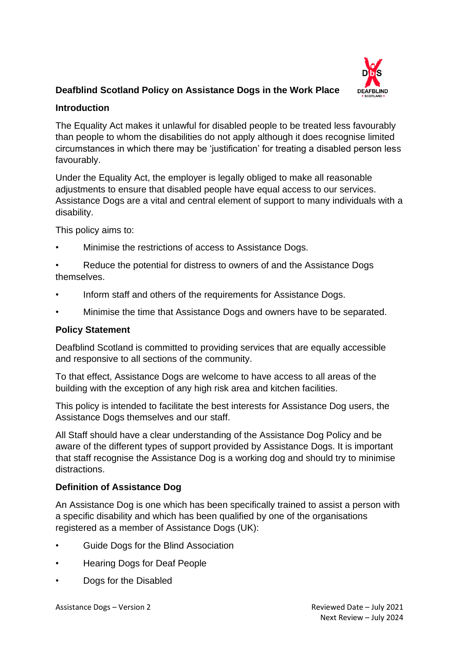

# **Deafblind Scotland Policy on Assistance Dogs in the Work Place**

#### **Introduction**

The Equality Act makes it unlawful for disabled people to be treated less favourably than people to whom the disabilities do not apply although it does recognise limited circumstances in which there may be 'justification' for treating a disabled person less favourably.

Under the Equality Act, the employer is legally obliged to make all reasonable adjustments to ensure that disabled people have equal access to our services. Assistance Dogs are a vital and central element of support to many individuals with a disability.

This policy aims to:

• Minimise the restrictions of access to Assistance Dogs.

• Reduce the potential for distress to owners of and the Assistance Dogs themselves.

- Inform staff and others of the requirements for Assistance Dogs.
- Minimise the time that Assistance Dogs and owners have to be separated.

#### **Policy Statement**

Deafblind Scotland is committed to providing services that are equally accessible and responsive to all sections of the community.

To that effect, Assistance Dogs are welcome to have access to all areas of the building with the exception of any high risk area and kitchen facilities.

This policy is intended to facilitate the best interests for Assistance Dog users, the Assistance Dogs themselves and our staff.

All Staff should have a clear understanding of the Assistance Dog Policy and be aware of the different types of support provided by Assistance Dogs. It is important that staff recognise the Assistance Dog is a working dog and should try to minimise distractions.

#### **Definition of Assistance Dog**

An Assistance Dog is one which has been specifically trained to assist a person with a specific disability and which has been qualified by one of the organisations registered as a member of Assistance Dogs (UK):

- Guide Dogs for the Blind Association
- Hearing Dogs for Deaf People
- Dogs for the Disabled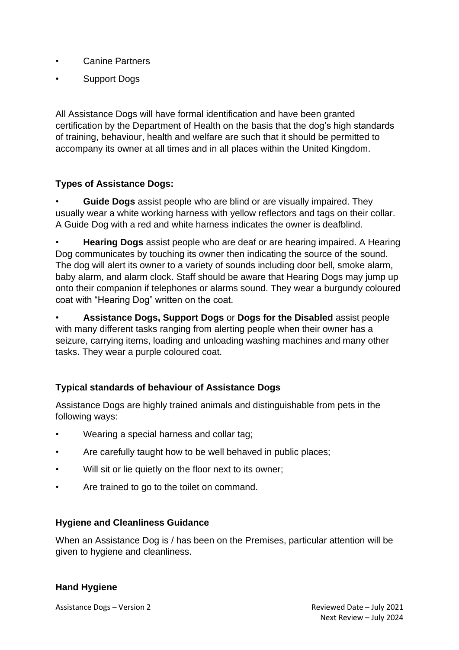- Canine Partners
- Support Dogs

All Assistance Dogs will have formal identification and have been granted certification by the Department of Health on the basis that the dog's high standards of training, behaviour, health and welfare are such that it should be permitted to accompany its owner at all times and in all places within the United Kingdom.

# **Types of Assistance Dogs:**

• **Guide Dogs** assist people who are blind or are visually impaired. They usually wear a white working harness with yellow reflectors and tags on their collar. A Guide Dog with a red and white harness indicates the owner is deafblind.

• **Hearing Dogs** assist people who are deaf or are hearing impaired. A Hearing Dog communicates by touching its owner then indicating the source of the sound. The dog will alert its owner to a variety of sounds including door bell, smoke alarm, baby alarm, and alarm clock. Staff should be aware that Hearing Dogs may jump up onto their companion if telephones or alarms sound. They wear a burgundy coloured coat with "Hearing Dog" written on the coat.

• **Assistance Dogs, Support Dogs** or **Dogs for the Disabled** assist people with many different tasks ranging from alerting people when their owner has a seizure, carrying items, loading and unloading washing machines and many other tasks. They wear a purple coloured coat.

# **Typical standards of behaviour of Assistance Dogs**

Assistance Dogs are highly trained animals and distinguishable from pets in the following ways:

- Wearing a special harness and collar tag;
- Are carefully taught how to be well behaved in public places;
- Will sit or lie quietly on the floor next to its owner;
- Are trained to go to the toilet on command.

#### **Hygiene and Cleanliness Guidance**

When an Assistance Dog is / has been on the Premises, particular attention will be given to hygiene and cleanliness.

### **Hand Hygiene**

Assistance Dogs – Version 2 and 2 Reviewed Date – July 2021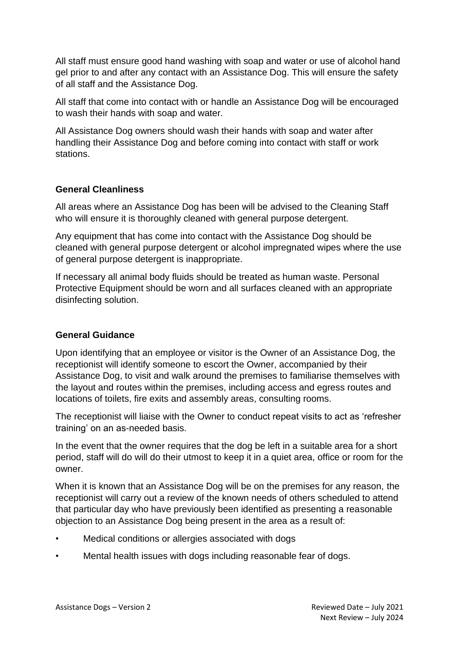All staff must ensure good hand washing with soap and water or use of alcohol hand gel prior to and after any contact with an Assistance Dog. This will ensure the safety of all staff and the Assistance Dog.

All staff that come into contact with or handle an Assistance Dog will be encouraged to wash their hands with soap and water.

All Assistance Dog owners should wash their hands with soap and water after handling their Assistance Dog and before coming into contact with staff or work stations.

### **General Cleanliness**

All areas where an Assistance Dog has been will be advised to the Cleaning Staff who will ensure it is thoroughly cleaned with general purpose detergent.

Any equipment that has come into contact with the Assistance Dog should be cleaned with general purpose detergent or alcohol impregnated wipes where the use of general purpose detergent is inappropriate.

If necessary all animal body fluids should be treated as human waste. Personal Protective Equipment should be worn and all surfaces cleaned with an appropriate disinfecting solution.

### **General Guidance**

Upon identifying that an employee or visitor is the Owner of an Assistance Dog, the receptionist will identify someone to escort the Owner, accompanied by their Assistance Dog, to visit and walk around the premises to familiarise themselves with the layout and routes within the premises, including access and egress routes and locations of toilets, fire exits and assembly areas, consulting rooms.

The receptionist will liaise with the Owner to conduct repeat visits to act as 'refresher training' on an as-needed basis.

In the event that the owner requires that the dog be left in a suitable area for a short period, staff will do will do their utmost to keep it in a quiet area, office or room for the owner.

When it is known that an Assistance Dog will be on the premises for any reason, the receptionist will carry out a review of the known needs of others scheduled to attend that particular day who have previously been identified as presenting a reasonable objection to an Assistance Dog being present in the area as a result of:

- Medical conditions or allergies associated with dogs
- Mental health issues with dogs including reasonable fear of dogs.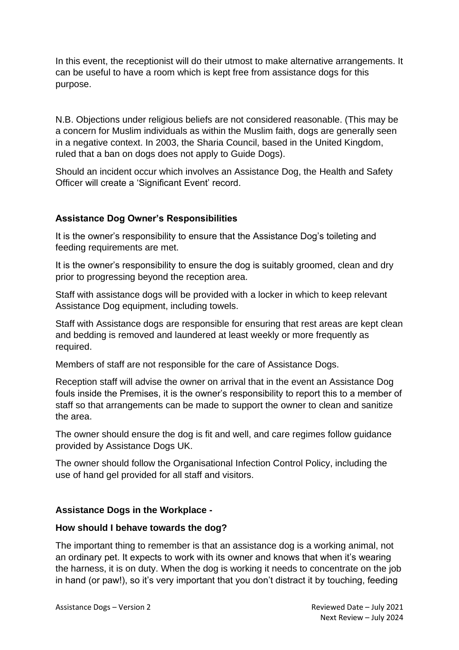In this event, the receptionist will do their utmost to make alternative arrangements. It can be useful to have a room which is kept free from assistance dogs for this purpose.

N.B. Objections under religious beliefs are not considered reasonable. (This may be a concern for Muslim individuals as within the Muslim faith, dogs are generally seen in a negative context. In 2003, the Sharia Council, based in the United Kingdom, ruled that a ban on dogs does not apply to Guide Dogs).

Should an incident occur which involves an Assistance Dog, the Health and Safety Officer will create a 'Significant Event' record.

#### **Assistance Dog Owner's Responsibilities**

It is the owner's responsibility to ensure that the Assistance Dog's toileting and feeding requirements are met.

It is the owner's responsibility to ensure the dog is suitably groomed, clean and dry prior to progressing beyond the reception area.

Staff with assistance dogs will be provided with a locker in which to keep relevant Assistance Dog equipment, including towels.

Staff with Assistance dogs are responsible for ensuring that rest areas are kept clean and bedding is removed and laundered at least weekly or more frequently as required.

Members of staff are not responsible for the care of Assistance Dogs.

Reception staff will advise the owner on arrival that in the event an Assistance Dog fouls inside the Premises, it is the owner's responsibility to report this to a member of staff so that arrangements can be made to support the owner to clean and sanitize the area.

The owner should ensure the dog is fit and well, and care regimes follow guidance provided by Assistance Dogs UK.

The owner should follow the Organisational Infection Control Policy, including the use of hand gel provided for all staff and visitors.

### **Assistance Dogs in the Workplace -**

#### **How should I behave towards the dog?**

The important thing to remember is that an assistance dog is a working animal, not an ordinary pet. It expects to work with its owner and knows that when it's wearing the harness, it is on duty. When the dog is working it needs to concentrate on the job in hand (or paw!), so it's very important that you don't distract it by touching, feeding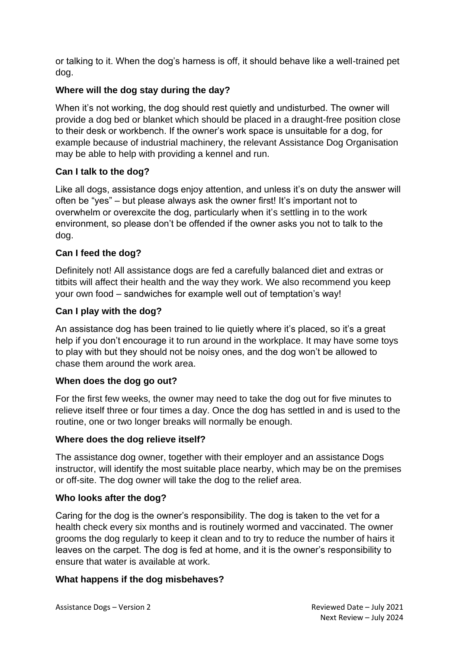or talking to it. When the dog's harness is off, it should behave like a well-trained pet dog.

# **Where will the dog stay during the day?**

When it's not working, the dog should rest quietly and undisturbed. The owner will provide a dog bed or blanket which should be placed in a draught-free position close to their desk or workbench. If the owner's work space is unsuitable for a dog, for example because of industrial machinery, the relevant Assistance Dog Organisation may be able to help with providing a kennel and run.

### **Can I talk to the dog?**

Like all dogs, assistance dogs enjoy attention, and unless it's on duty the answer will often be "yes" – but please always ask the owner first! It's important not to overwhelm or overexcite the dog, particularly when it's settling in to the work environment, so please don't be offended if the owner asks you not to talk to the dog.

### **Can I feed the dog?**

Definitely not! All assistance dogs are fed a carefully balanced diet and extras or titbits will affect their health and the way they work. We also recommend you keep your own food – sandwiches for example well out of temptation's way!

### **Can I play with the dog?**

An assistance dog has been trained to lie quietly where it's placed, so it's a great help if you don't encourage it to run around in the workplace. It may have some toys to play with but they should not be noisy ones, and the dog won't be allowed to chase them around the work area.

### **When does the dog go out?**

For the first few weeks, the owner may need to take the dog out for five minutes to relieve itself three or four times a day. Once the dog has settled in and is used to the routine, one or two longer breaks will normally be enough.

#### **Where does the dog relieve itself?**

The assistance dog owner, together with their employer and an assistance Dogs instructor, will identify the most suitable place nearby, which may be on the premises or off-site. The dog owner will take the dog to the relief area.

#### **Who looks after the dog?**

Caring for the dog is the owner's responsibility. The dog is taken to the vet for a health check every six months and is routinely wormed and vaccinated. The owner grooms the dog regularly to keep it clean and to try to reduce the number of hairs it leaves on the carpet. The dog is fed at home, and it is the owner's responsibility to ensure that water is available at work.

### **What happens if the dog misbehaves?**